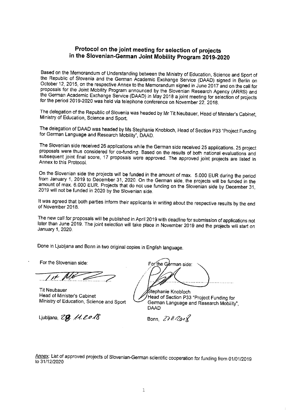## **Protocol on the joint meeting for selection of projects in the Siovenian-German Joint Mobility Program 2019-2020**

Based on the Memorandum of Understanding between the Ministry of Education, Science and Sport of the Republic of Slovenia and the German Academic Exchange Service (DAAD) signed in Berlin on October 12, 2015, on the respective Annex to the Memorandum signed in June 2017 and on the call for proposals for the Joint Mobility Program announced by the Slovenian Research Agency (ARRS) and the German Academic Exchange Service (DAAD) in May 2018 a joint meeting for selection of projects for the period 2019-2020 was held via telephone conference on November 22, 2018.

The delegation of the Republic of Slovenia was headed by Mr Tit Neubauer, Head of Minister's Cabinet, Ministry of Education, Science and Sport.

The delegation of DAAD was headed by Ms Stephanie Knobloch, Head of Section P33 "Project Funding for German Language and Research Mobility", DAAD.

The Siovenian side received 26 applications while the German side received 25 applications. 25 project proposals were thus considered for co-funding. Based on the results of both national evaluations and subsequent joint final score, 17 proposals were approved. The approved joint projects are listed in Annex to this Protocol.

On the Slovenian side the projects will be funded in the amount of max. 5.000 EUR during the period from January 1, 2019 to December 31,2020. On the German side, the projects will be funded in the amount of max. 6.000 EUR. Projects that do not use funding on the Slovenian side by December 31, 2019 will not be funded in 2020 by the Slovenian side.

It was agreed that both parties inform their applicants in writing about the respective results by the end of November 2018.

The new call for proposals will be published in April 2019 with deadline for submission of applications not later than June 2019. The joint selection will take place in November 2019 and the projects will start on January 1, 2020.

Done in Ljubljana and Bonn in two original copies in English language.

For the Siovenian side:

*..../!.t:..~*

Tit Neubauer Head of Minister's Cabinet Ministry of Education, Science and Sport

Ljubljana,  $ZR$ .  $/4.$  20 $/8$ 

For the German side:

Śtephanie Knobloch Head of Section P33 "Project Funding for German Language and Research Mobility", DAAD

Bonn,  $271/201$ 

Annex: List of approved projects of Slovenian-German scientific cooperation for funding from 01/01/2019 to 31/12/2020